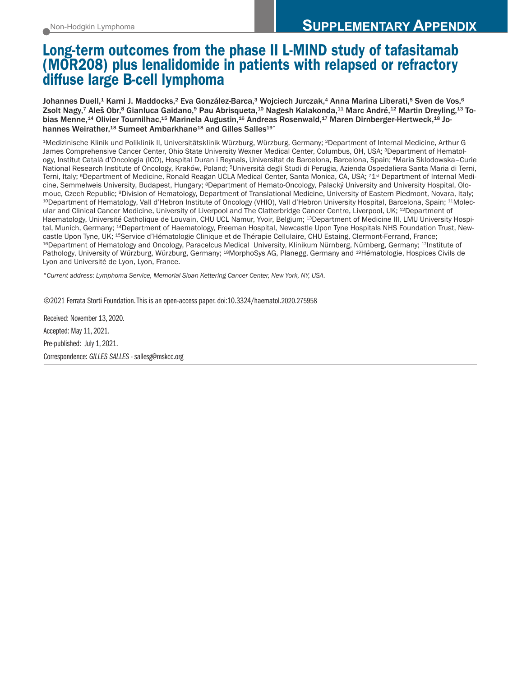# Long-term outcomes from the phase II L-MIND study of tafasitamab (MOR208) plus lenalidomide in patients with relapsed or refractory diffuse large B-cell lymphoma

Johannes Duell,<sup>1</sup> Kami J. Maddocks,<sup>2</sup> Eva González-Barca,<sup>3</sup> Wojciech Jurczak,<sup>4</sup> Anna Marina Liberati,<sup>5</sup> Sven de Vos,<sup>6</sup> Zsolt Nagy,7 Aleš Obr,8 Gianluca Gaidano,9 Pau Abrisqueta,10 Nagesh Kalakonda,11 Marc André,12 Martin Dreyling,13 Tobias Menne,<sup>14</sup> Olivier Tournilhac,<sup>15</sup> Marinela Augustin,<sup>16</sup> Andreas Rosenwald,<sup>17</sup> Maren Dirnberger-Hertweck,<sup>18</sup> Johannes Weirather,<sup>18</sup> Sumeet Ambarkhane<sup>18</sup> and Gilles Salles<sup>19°</sup>

1Medizinische Klinik und Poliklinik II, Universitätsklinik Würzburg, Würzburg, Germany; 2Department of Internal Medicine, Arthur G James Comprehensive Cancer Center, Ohio State University Wexner Medical Center, Columbus, OH, USA; 3Department of Hematology, Institut Catalá d'Oncologia (ICO), Hospital Duran i Reynals, Universitat de Barcelona, Barcelona, Spain; 4Maria Sklodowska–Curie National Research Institute of Oncology, Kraków, Poland; 5Università degli Studi di Perugia, Azienda Ospedaliera Santa Maria di Terni, Terni, Italy; <sup>6</sup>Department of Medicine, Ronald Reagan UCLA Medical Center, Santa Monica, CA, USA; 71<sup>st</sup> Department of Internal Medicine, Semmelweis University, Budapest, Hungary; 8Department of Hemato-Oncology, Palacký University and University Hospital, Olomouc, Czech Republic; <sup>9</sup>Division of Hematology, Department of Translational Medicine, University of Eastern Piedmont, Novara, Italy;<br><sup>10</sup>Department of Hematology, Vall d'Hebron Institute of Oncology (VHIO), Vall d'Hebron ular and Clinical Cancer Medicine, University of Liverpool and The Clatterbridge Cancer Centre, Liverpool, UK; 12Department of Haematology, Université Catholique de Louvain, CHU UCL Namur, Yvoir, Belgium; 13Department of Medicine III, LMU University Hospital, Munich, Germany; 14Department of Haematology, Freeman Hospital, Newcastle Upon Tyne Hospitals NHS Foundation Trust, Newcastle Upon Tyne, UK; <sup>15</sup>Service d'Hématologie Clinique et de Thérapie Cellulaire, CHU Estaing, Clermont-Ferrand, France;<br><sup>16</sup>Department of Hematology and Oncology, Paracelcus Medical University, Klinikum Nürnberg, Nürnbe Pathology, University of Würzburg, Würzburg, Germany; 18MorphoSys AG, Planegg, Germany and 19Hématologie, Hospices Civils de Lyon and Université de Lyon, Lyon, France.

*°Current address: Lymphoma Service, Memorial Sloan Kettering Cancer Center, New York, NY, USA.*

©2021 Ferrata Storti Foundation. This is an open-access paper. doi:10.3324/haematol.2020.275958

Received: November 13, 2020. Accepted: May 11, 2021. Pre-published: July 1, 2021. Correspondence: *GILLES SALLES* - sallesg@mskcc.org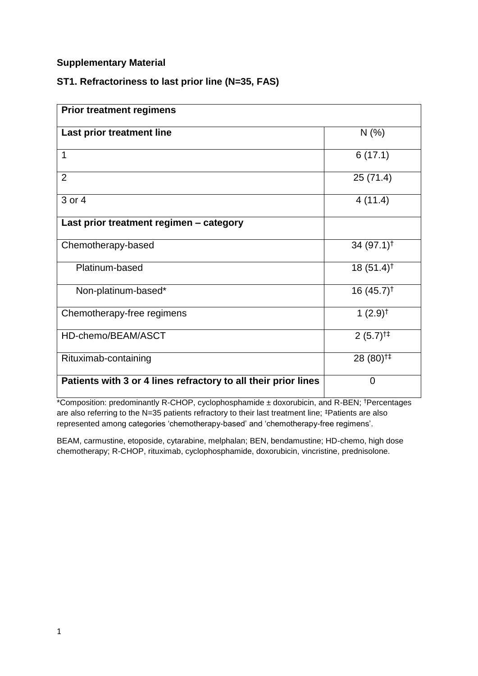### **Supplementary Material**

### **ST1. Refractoriness to last prior line (N=35, FAS)**

| <b>Prior treatment regimens</b>                                |                                                   |  |  |  |  |  |
|----------------------------------------------------------------|---------------------------------------------------|--|--|--|--|--|
| Last prior treatment line                                      | N(%                                               |  |  |  |  |  |
| 1                                                              | 6(17.1)                                           |  |  |  |  |  |
| $\overline{2}$                                                 | 25(71.4)                                          |  |  |  |  |  |
| 3 or 4                                                         | 4(11.4)                                           |  |  |  |  |  |
| Last prior treatment regimen - category                        |                                                   |  |  |  |  |  |
| Chemotherapy-based                                             | 34 $(97.1)$ <sup>†</sup>                          |  |  |  |  |  |
| Platinum-based                                                 | $18(51.4)$ <sup>†</sup>                           |  |  |  |  |  |
| Non-platinum-based*                                            | $16(45.7)^{\dagger}$                              |  |  |  |  |  |
| Chemotherapy-free regimens                                     | 1 $(2.9)$ <sup>†</sup>                            |  |  |  |  |  |
| HD-chemo/BEAM/ASCT                                             | $2(5.7)$ <sup><math>\uparrow\uparrow</math></sup> |  |  |  |  |  |
| Rituximab-containing                                           | 28 (80) <sup><math>\ddagger</math>‡</sup>         |  |  |  |  |  |
| Patients with 3 or 4 lines refractory to all their prior lines | $\overline{0}$                                    |  |  |  |  |  |

\*Composition: predominantly R-CHOP, cyclophosphamide ± doxorubicin, and R-BEN; †Percentages are also referring to the N=35 patients refractory to their last treatment line; ‡Patients are also represented among categories 'chemotherapy-based' and 'chemotherapy-free regimens'.

BEAM, carmustine, etoposide, cytarabine, melphalan; BEN, bendamustine; HD-chemo, high dose chemotherapy; R-CHOP, rituximab, cyclophosphamide, doxorubicin, vincristine, prednisolone.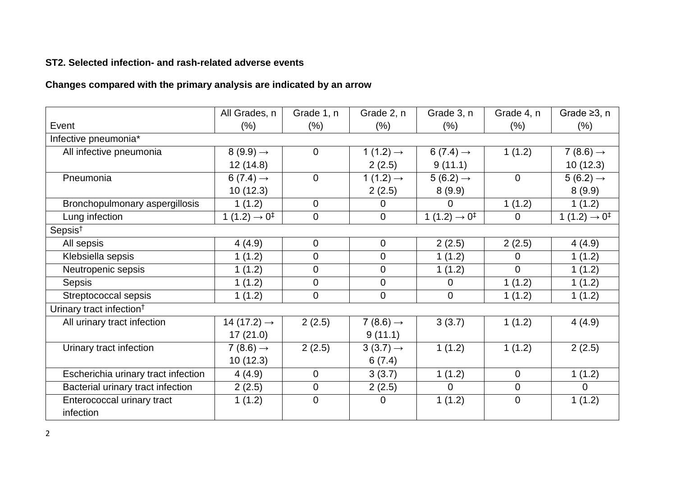## **ST2. Selected infection- and rash-related adverse events**

# **Changes compared with the primary analysis are indicated by an arrow**

|                                      | All Grades, n                        | Grade 1, n     | Grade 2, n            | Grade 3, n                           | Grade 4, n     | Grade $\geq 3$ , n                   |  |  |
|--------------------------------------|--------------------------------------|----------------|-----------------------|--------------------------------------|----------------|--------------------------------------|--|--|
| Event                                | $(\% )$                              | (% )           | $(\% )$               | (% )                                 | $(\% )$        | $(\% )$                              |  |  |
| Infective pneumonia*                 |                                      |                |                       |                                      |                |                                      |  |  |
| All infective pneumonia              | $8(9.9) \rightarrow$                 | $\overline{0}$ | 1 $(1.2) \rightarrow$ | $6(7.4) \rightarrow$                 | 1(1.2)         | 7 (8.6) $\rightarrow$                |  |  |
|                                      | 12(14.8)                             |                | 2(2.5)                | 9(11.1)                              |                | 10(12.3)                             |  |  |
| Pneumonia                            | $6(7.4) \rightarrow$                 | $\overline{0}$ | 1 $(1.2) \rightarrow$ | $5(6.2) \rightarrow$                 | $\mathbf{0}$   | $5(6.2) \rightarrow$                 |  |  |
|                                      | 10(12.3)                             |                | 2(2.5)                | 8(9.9)                               |                | 8(9.9)                               |  |  |
| Bronchopulmonary aspergillosis       | 1(1.2)                               | $\Omega$       | 0                     | 0                                    | 1(1.2)         | 1(1.2)                               |  |  |
| Lung infection                       | 1 (1.2) $\rightarrow$ 0 <sup>‡</sup> | $\Omega$       | $\overline{0}$        | 1 (1.2) $\rightarrow$ 0 <sup>‡</sup> | $\overline{0}$ | 1 (1.2) $\rightarrow$ 0 <sup>‡</sup> |  |  |
| Sepsis <sup>†</sup>                  |                                      |                |                       |                                      |                |                                      |  |  |
| All sepsis                           | 4(4.9)                               | $\overline{0}$ | $\overline{0}$        | 2(2.5)                               | 2(2.5)         | 4(4.9)                               |  |  |
| Klebsiella sepsis                    | 1(1.2)                               | $\overline{0}$ | 0                     | 1(1.2)                               | $\mathbf 0$    | 1(1.2)                               |  |  |
| Neutropenic sepsis                   | 1(1.2)                               | $\Omega$       | 0                     | 1(1.2)                               | $\Omega$       | 1(1.2)                               |  |  |
| <b>Sepsis</b>                        | 1(1.2)                               | $\mathbf 0$    | 0                     | $\Omega$                             | 1(1.2)         | 1(1.2)                               |  |  |
| Streptococcal sepsis                 | 1(1.2)                               | $\mathbf 0$    | 0                     | $\mathbf 0$                          | 1(1.2)         | 1(1.2)                               |  |  |
| Urinary tract infection <sup>†</sup> |                                      |                |                       |                                      |                |                                      |  |  |
| All urinary tract infection          | 14 (17.2) $\rightarrow$              | 2(2.5)         | $7(8.6) \rightarrow$  | 3(3.7)                               | 1(1.2)         | 4(4.9)                               |  |  |
|                                      | 17(21.0)                             |                | 9(11.1)               |                                      |                |                                      |  |  |
| Urinary tract infection              | 7 (8.6) $\rightarrow$                | 2(2.5)         | $3(3.7) \rightarrow$  | 1(1.2)                               | 1(1.2)         | 2(2.5)                               |  |  |
|                                      | 10(12.3)                             |                | 6(7.4)                |                                      |                |                                      |  |  |
| Escherichia urinary tract infection  | 4(4.9)                               | $\mathbf 0$    | 3(3.7)                | 1(1.2)                               | $\Omega$       | 1(1.2)                               |  |  |
| Bacterial urinary tract infection    | 2(2.5)                               | $\mathbf 0$    | 2(2.5)                | $\Omega$                             | $\overline{0}$ | $\overline{0}$                       |  |  |
| Enterococcal urinary tract           | 1(1.2)                               | $\overline{0}$ | $\overline{0}$        | 1(1.2)                               | $\overline{0}$ | 1(1.2)                               |  |  |
| infection                            |                                      |                |                       |                                      |                |                                      |  |  |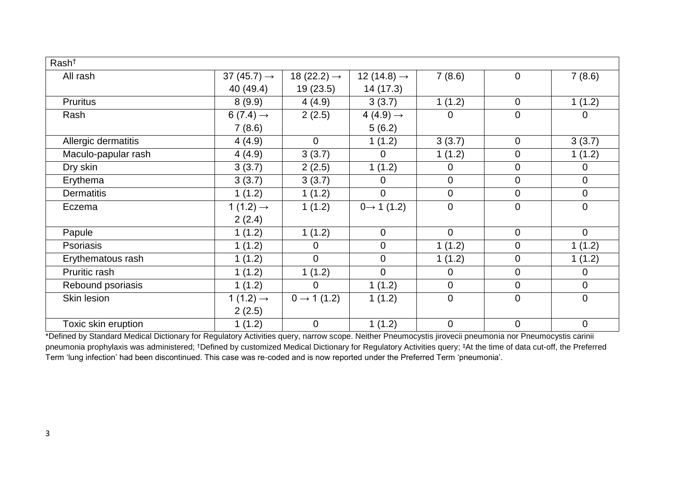| Rash <sup>+</sup>   |                         |                         |                         |                |                |                |
|---------------------|-------------------------|-------------------------|-------------------------|----------------|----------------|----------------|
| All rash            | 37 (45.7) $\rightarrow$ | 18 (22.2) $\rightarrow$ | 12 (14.8) $\rightarrow$ | 7(8.6)         | $\overline{0}$ | 7(8.6)         |
|                     | 40 (49.4)               | 19(23.5)                | 14 (17.3)               |                |                |                |
| <b>Pruritus</b>     | 8(9.9)                  | 4(4.9)                  | 3(3.7)                  | 1(1.2)         | $\mathbf 0$    | 1(1.2)         |
| Rash                | $6(7.4) \rightarrow$    | 2(2.5)                  | 4 (4.9) $\rightarrow$   | $\Omega$       | $\mathbf 0$    | $\overline{0}$ |
|                     | 7(8.6)                  |                         | 5(6.2)                  |                |                |                |
| Allergic dermatitis | 4(4.9)                  | $\Omega$                | 1(1.2)                  | 3(3.7)         | $\overline{0}$ | 3(3.7)         |
| Maculo-papular rash | 4(4.9)                  | 3(3.7)                  | 0                       | 1(1.2)         | $\mathbf 0$    | 1(1.2)         |
| Dry skin            | 3(3.7)                  | 2(2.5)                  | 1(1.2)                  | $\Omega$       | $\mathbf 0$    | $\overline{0}$ |
| Erythema            | 3(3.7)                  | 3(3.7)                  | 0                       | $\Omega$       | $\overline{0}$ | $\overline{0}$ |
| <b>Dermatitis</b>   | 1(1.2)                  | 1(1.2)                  | $\mathbf 0$             | $\mathbf 0$    | $\overline{0}$ | $\overline{0}$ |
| Eczema              | 1 $(1.2) \rightarrow$   | 1(1.2)                  | $0 \rightarrow 1(1.2)$  | $\overline{0}$ | $\mathbf 0$    | $\overline{0}$ |
|                     | 2(2.4)                  |                         |                         |                |                |                |
| Papule              | 1(1.2)                  | 1(1.2)                  | $\mathbf 0$             | $\overline{0}$ | $\overline{0}$ | $\overline{0}$ |
| Psoriasis           | 1(1.2)                  | $\overline{0}$          | $\mathbf 0$             | 1(1.2)         | $\overline{0}$ | 1(1.2)         |
| Erythematous rash   | 1(1.2)                  | $\mathbf 0$             | $\mathbf 0$             | 1(1.2)         | $\mathbf 0$    | 1(1.2)         |
| Pruritic rash       | 1(1.2)                  | 1(1.2)                  | $\mathbf 0$             | $\overline{0}$ | $\mathbf 0$    | $\mathbf 0$    |
| Rebound psoriasis   | 1(1.2)                  | $\Omega$                | 1(1.2)                  | $\mathbf 0$    | $\mathbf 0$    | $\overline{0}$ |
| Skin lesion         | 1 $(1.2) \rightarrow$   | $0 \rightarrow 1(1.2)$  | 1(1.2)                  | $\overline{0}$ | $\overline{0}$ | $\overline{0}$ |
|                     | 2(2.5)                  |                         |                         |                |                |                |
| Toxic skin eruption | 1(1.2)                  | $\mathbf 0$             | 1(1.2)                  | $\overline{0}$ | $\mathbf 0$    | $\mathbf 0$    |

\*Defined by Standard Medical Dictionary for Regulatory Activities query, narrow scope. Neither Pneumocystis jirovecii pneumonia nor Pneumocystis carinii pneumonia prophylaxis was administered; †Defined by customized Medical Dictionary for Regulatory Activities query; ‡At the time of data cut-off, the Preferred Term 'lung infection' had been discontinued. This case was re-coded and is now reported under the Preferred Term 'pneumonia'.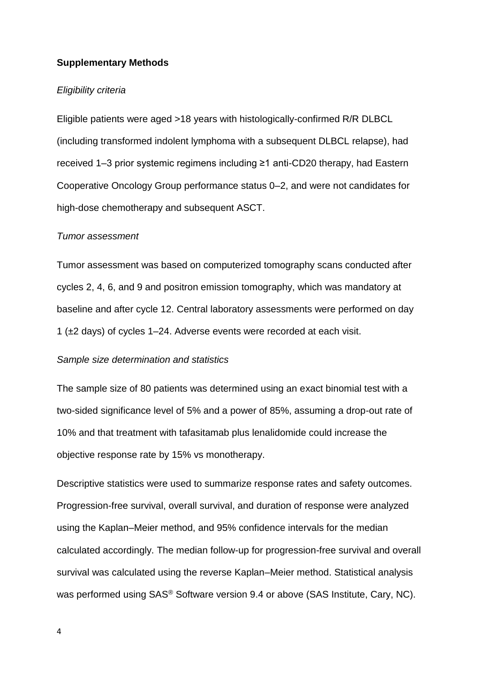#### **Supplementary Methods**

#### *Eligibility criteria*

Eligible patients were aged >18 years with histologically-confirmed R/R DLBCL (including transformed indolent lymphoma with a subsequent DLBCL relapse), had received 1–3 prior systemic regimens including ≥1 anti-CD20 therapy, had Eastern Cooperative Oncology Group performance status 0–2, and were not candidates for high-dose chemotherapy and subsequent ASCT.

#### *Tumor assessment*

Tumor assessment was based on computerized tomography scans conducted after cycles 2, 4, 6, and 9 and positron emission tomography, which was mandatory at baseline and after cycle 12. Central laboratory assessments were performed on day 1 (±2 days) of cycles 1–24. Adverse events were recorded at each visit.

#### *Sample size determination and statistics*

The sample size of 80 patients was determined using an exact binomial test with a two-sided significance level of 5% and a power of 85%, assuming a drop-out rate of 10% and that treatment with tafasitamab plus lenalidomide could increase the objective response rate by 15% vs monotherapy.

Descriptive statistics were used to summarize response rates and safety outcomes. Progression-free survival, overall survival, and duration of response were analyzed using the Kaplan–Meier method, and 95% confidence intervals for the median calculated accordingly. The median follow-up for progression-free survival and overall survival was calculated using the reverse Kaplan–Meier method. Statistical analysis was performed using SAS® Software version 9.4 or above (SAS Institute, Cary, NC).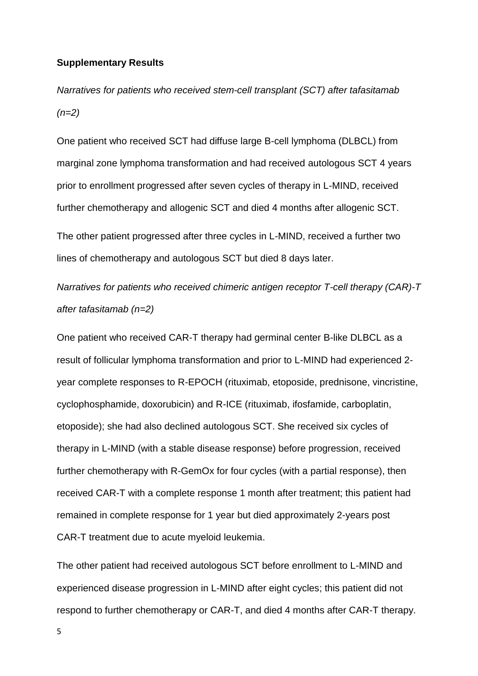#### **Supplementary Results**

*Narratives for patients who received stem-cell transplant (SCT) after tafasitamab (n=2)*

One patient who received SCT had diffuse large B-cell lymphoma (DLBCL) from marginal zone lymphoma transformation and had received autologous SCT 4 years prior to enrollment progressed after seven cycles of therapy in L-MIND, received further chemotherapy and allogenic SCT and died 4 months after allogenic SCT.

The other patient progressed after three cycles in L-MIND, received a further two lines of chemotherapy and autologous SCT but died 8 days later.

*Narratives for patients who received chimeric antigen receptor T-cell therapy (CAR)-T after tafasitamab (n=2)*

One patient who received CAR-T therapy had germinal center B-like DLBCL as a result of follicular lymphoma transformation and prior to L-MIND had experienced 2 year complete responses to R-EPOCH (rituximab, etoposide, prednisone, vincristine, cyclophosphamide, doxorubicin) and R-ICE (rituximab, ifosfamide, carboplatin, etoposide); she had also declined autologous SCT. She received six cycles of therapy in L-MIND (with a stable disease response) before progression, received further chemotherapy with R-GemOx for four cycles (with a partial response), then received CAR-T with a complete response 1 month after treatment; this patient had remained in complete response for 1 year but died approximately 2-years post CAR-T treatment due to acute myeloid leukemia.

The other patient had received autologous SCT before enrollment to L-MIND and experienced disease progression in L-MIND after eight cycles; this patient did not respond to further chemotherapy or CAR-T, and died 4 months after CAR-T therapy.

5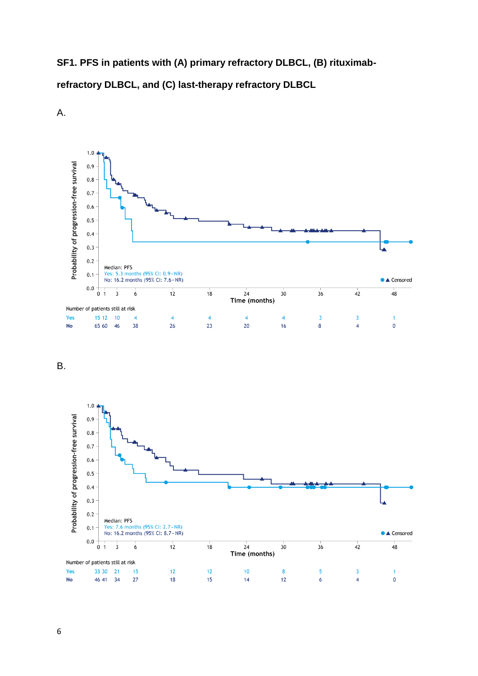**SF1. PFS in patients with (A) primary refractory DLBCL, (B) rituximabrefractory DLBCL, and (C) last-therapy refractory DLBCL**



A.

B.

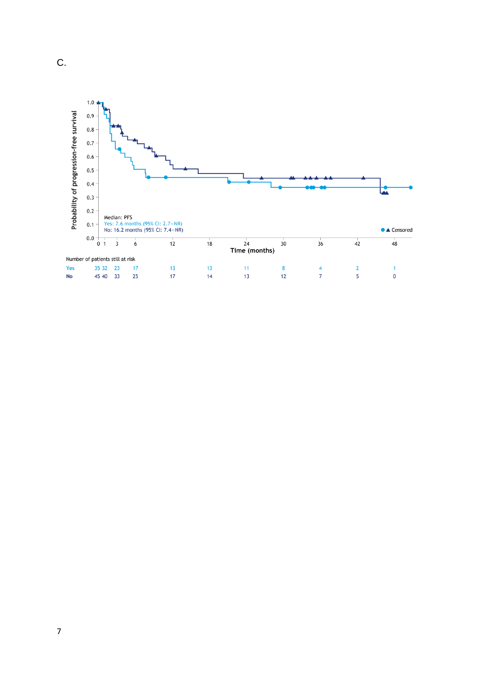

C.